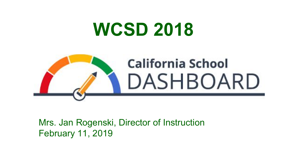## **WCSD 2018**



#### Mrs. Jan Rogenski, Director of Instruction February 11, 2019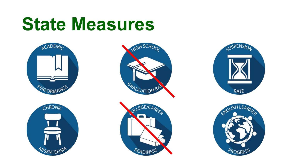# **State Measures**











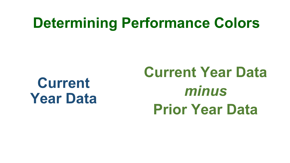### **Determining Performance Colors**

### **Current Year Data**

## **Current Year Data**  *minus* **Prior Year Data**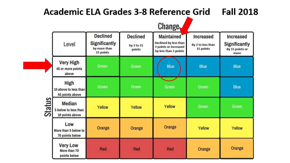#### Academic ELA Grades 3-8 Reference Grid **Fall 2018 Change Declined Declined Increased Maintained Increased** Declined by less than **Significantly** Level **Significantly** By 3 to less than by 3 to 15 3 points or increased by more than 15 points By 15 points or points by less than 3 points 15 points more **Very High Green Blue Blue Blue** Green 45 or more points above **High** Green **Blue** Green Green Green 10 above to less than 45 points above **Status Median** Yellow Green Green Yellow Yellow 5 below to less than 10 points above Low Orange Orange Orange Yellow Yellow More than 5 below to 70 points below **Very Low** Orange Red Red Red Orange More than 70 points below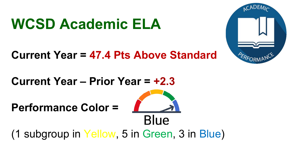### **WCSD Academic ELA**

**Current Year = 47.4 Pts Above Standard**

**Current Year – Prior Year = +2.3**

**Performance Color =** 

Blue (1 subgroup in Yellow, 5 in Green, 3 in Blue)

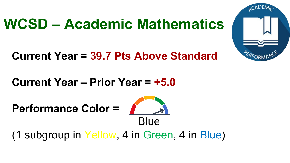### **WCSD – Academic Mathematics**

**Current Year = 39.7 Pts Above Standard**

**Current Year – Prior Year = +5.0**

**Performance Color =** 



(1 subgroup in Yellow, 4 in Green, 4 in Blue)

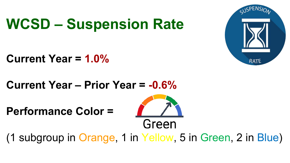### **WCSD – Suspension Rate**



#### **Current Year = 1.0%**

**Current Year – Prior Year = -0.6%**

**Performance Color =**



(1 subgroup in Orange, 1 in Yellow, 5 in Green, 2 in Blue)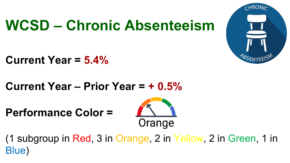### **WCSD – Chronic Absenteeism**



**Current Year = 5.4%**

**Current Year – Prior Year = + 0.5%**

**Performance Color =** 



(1 subgroup in Red, 3 in Orange, 2 in Yellow, 2 in Green, 1 in Blue)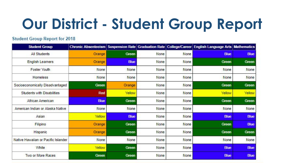### **Our District - Student Group Report**

#### **Student Group Report for 2018**

| <b>Student Group</b>                | <b>Chronic Absenteeism</b> |             |      |      | Suspension Rate Graduation Rate College/Career English Language Arts Mathematics |             |
|-------------------------------------|----------------------------|-------------|------|------|----------------------------------------------------------------------------------|-------------|
| <b>All Students</b>                 | Orange                     | Green       | None | None | <b>Blue</b>                                                                      | <b>Blue</b> |
| <b>English Learners</b>             | Orange                     | <b>Blue</b> | None | None | Green                                                                            | Green       |
| <b>Foster Youth</b>                 | None                       | None        | None | None | None                                                                             | None        |
| Homeless                            | None                       | None        | None | None | None                                                                             | None        |
| Socioeconomically Disadvantaged     | Green                      | Orange      | None | None | Green                                                                            | Green       |
| <b>Students with Disabilities</b>   | Red                        | Yellow      | None | None | Yellow                                                                           | Yellow      |
| African American                    | <b>Blue</b>                | Green       | None | None | Green                                                                            | Green       |
| American Indian or Alaska Native    | None                       | None        | None | None | None                                                                             | None        |
| Asian                               | Yellow                     | <b>Blue</b> | None | None | <b>Blue</b>                                                                      | <b>Blue</b> |
| Filipino                            | Orange                     | Green       | None | None | Green                                                                            | <b>Blue</b> |
| Hispanic                            | Orange                     | Green       | None | None | Green                                                                            | Green       |
| Native Hawaiian or Pacific Islander | None                       | None        | None | None | None                                                                             | None        |
| White                               | Yellow                     | Green       | None | None | <b>Blue</b>                                                                      | <b>Blue</b> |
| Two or More Races                   | Green                      | Green       | None | None | <b>Blue</b>                                                                      | <b>Blue</b> |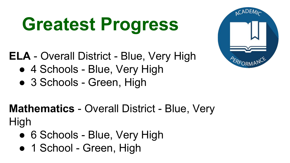# **Greatest Progress**

**ELA** - Overall District - Blue, Very High

- 4 Schools Blue, Very High
- 3 Schools Green, High

### **Mathematics** - Overall District - Blue, Very High

- 6 Schools Blue, Very High
- 1 School Green, High

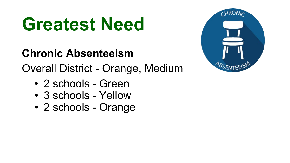# **Greatest Need**

### **Chronic Absenteeism**

Overall District - Orange, Medium

- 2 schools Green
- 3 schools Yellow
- 2 schools Orange

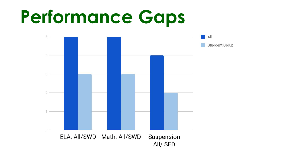# **Performance Gaps**